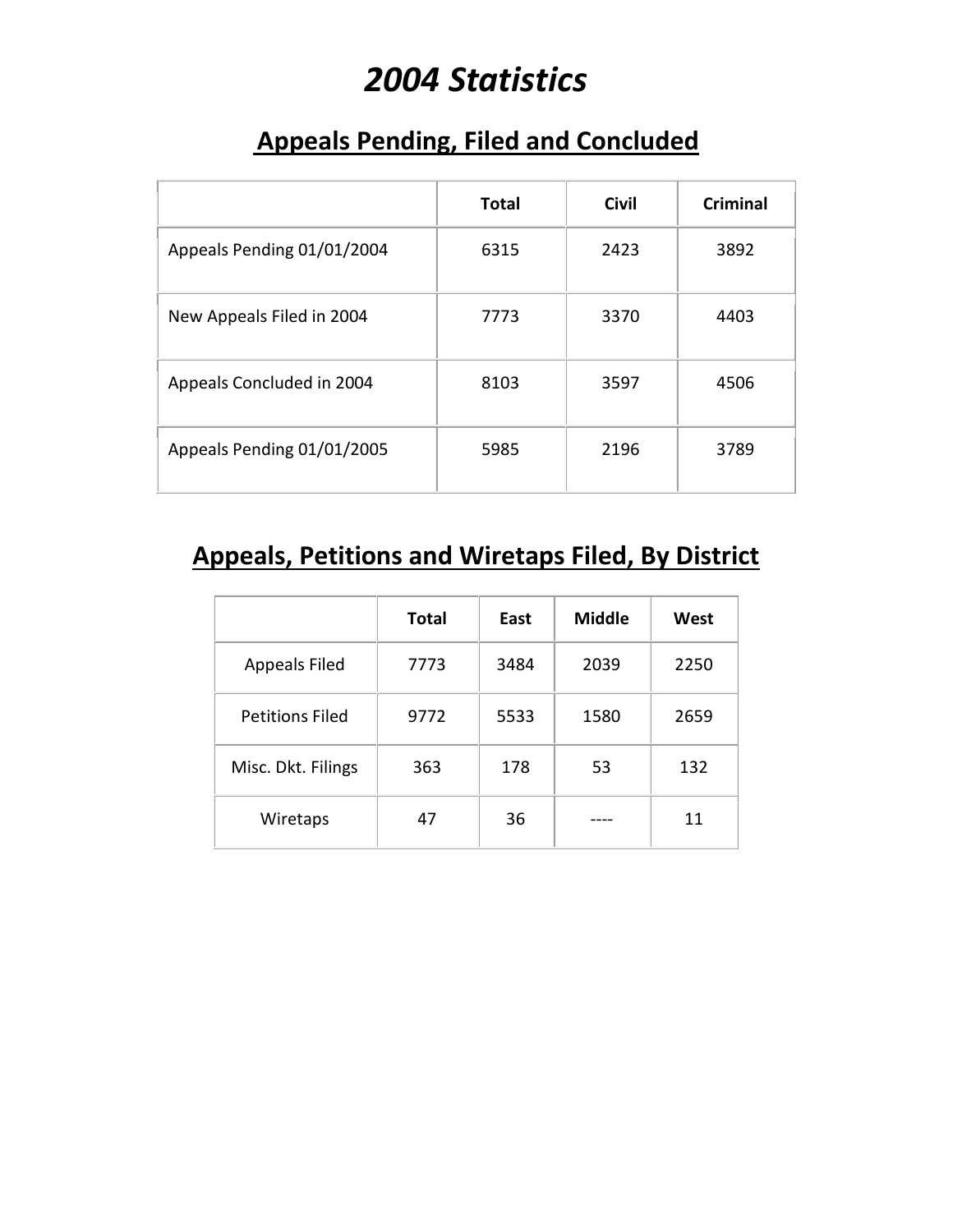# *2004 Statistics*

#### **Appeals Pending, Filed and Concluded**

|                            | <b>Total</b> | <b>Civil</b> | <b>Criminal</b> |
|----------------------------|--------------|--------------|-----------------|
| Appeals Pending 01/01/2004 | 6315         | 2423         | 3892            |
| New Appeals Filed in 2004  | 7773         | 3370         | 4403            |
| Appeals Concluded in 2004  | 8103         | 3597         | 4506            |
| Appeals Pending 01/01/2005 | 5985         | 2196         | 3789            |

# **Appeals, Petitions and Wiretaps Filed, By District**

|                        | <b>Total</b> | East | <b>Middle</b> | West |
|------------------------|--------------|------|---------------|------|
| <b>Appeals Filed</b>   | 7773         | 3484 | 2039          | 2250 |
| <b>Petitions Filed</b> | 9772         | 5533 | 1580          | 2659 |
| Misc. Dkt. Filings     | 363          | 178  | 53            | 132  |
| Wiretaps               | 47           | 36   |               | 11   |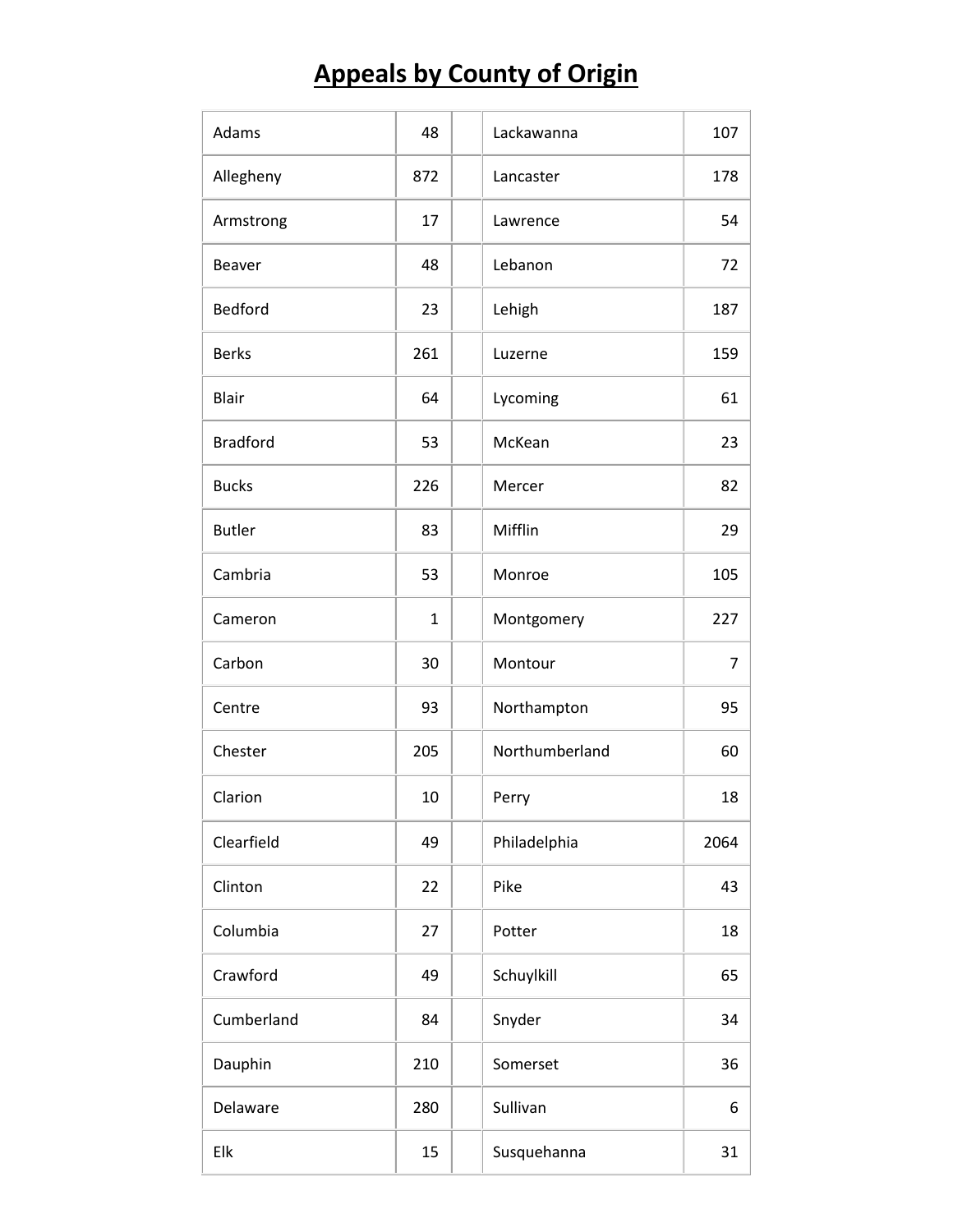# **Appeals by County of Origin**

| Adams           | 48           | Lackawanna     | 107  |
|-----------------|--------------|----------------|------|
| Allegheny       | 872          | Lancaster      | 178  |
| Armstrong       | 17           | Lawrence       | 54   |
| <b>Beaver</b>   | 48           | Lebanon        | 72   |
| Bedford         | 23           | Lehigh         | 187  |
| <b>Berks</b>    | 261          | Luzerne        | 159  |
| <b>Blair</b>    | 64           | Lycoming       | 61   |
| <b>Bradford</b> | 53           | McKean         | 23   |
| <b>Bucks</b>    | 226          | Mercer         | 82   |
| <b>Butler</b>   | 83           | Mifflin        | 29   |
| Cambria         | 53           | Monroe         | 105  |
| Cameron         | $\mathbf{1}$ | Montgomery     | 227  |
| Carbon          | 30           | Montour        | 7    |
| Centre          | 93           | Northampton    | 95   |
| Chester         | 205          | Northumberland | 60   |
| Clarion         | 10           | Perry          | 18   |
| Clearfield      | 49           | Philadelphia   | 2064 |
| Clinton         | 22           | Pike           | 43   |
| Columbia        | 27           | Potter         | 18   |
| Crawford        | 49           | Schuylkill     | 65   |
| Cumberland      | 84           | Snyder         | 34   |
| Dauphin         | 210          | Somerset       | 36   |
| Delaware        | 280          | Sullivan       | 6    |
| Elk             | 15           | Susquehanna    | 31   |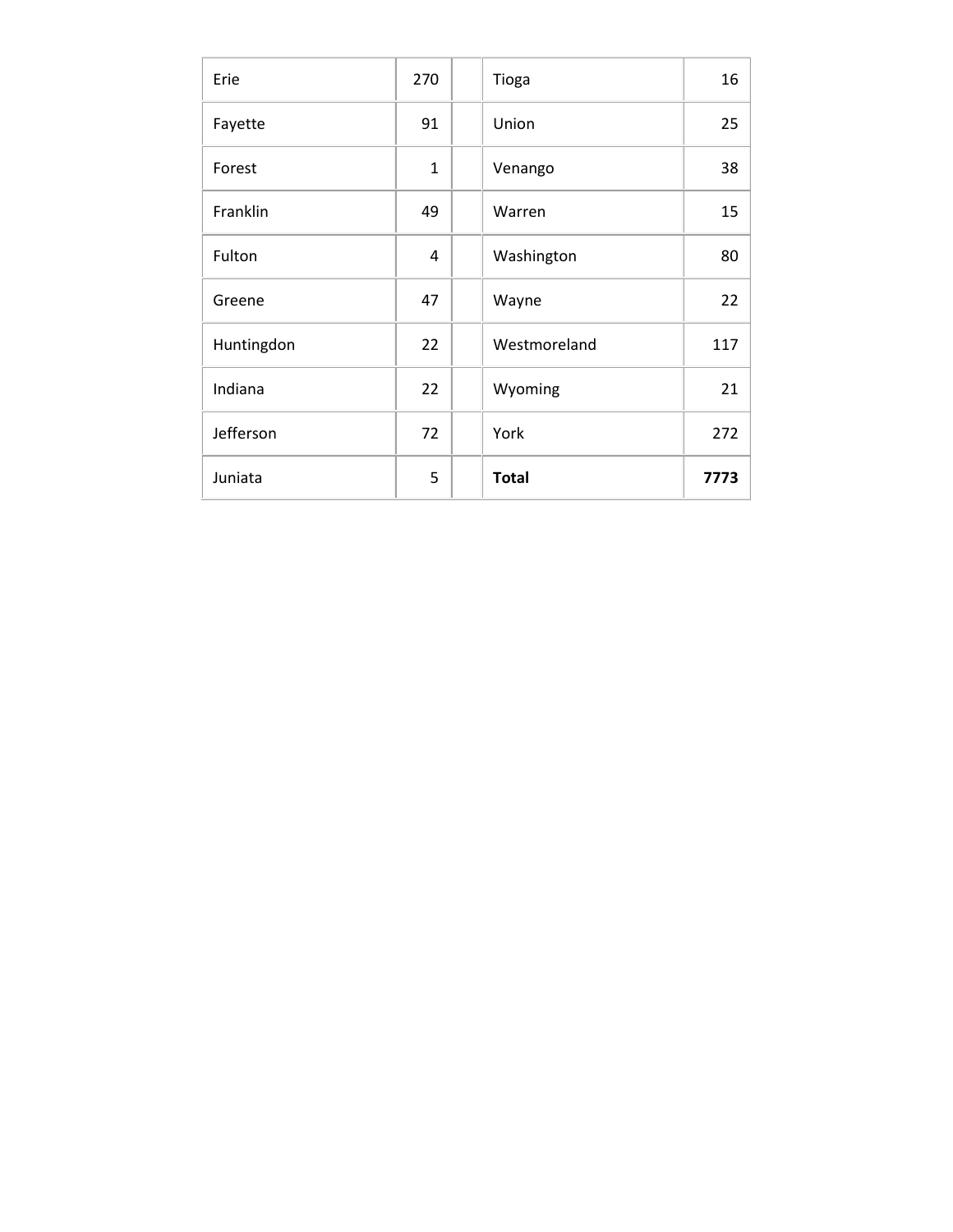| Erie       | 270          | Tioga        | 16   |
|------------|--------------|--------------|------|
| Fayette    | 91           | Union        | 25   |
| Forest     | $\mathbf{1}$ | Venango      | 38   |
| Franklin   | 49           | Warren       | 15   |
| Fulton     | 4            | Washington   | 80   |
| Greene     | 47           | Wayne        | 22   |
| Huntingdon | 22           | Westmoreland | 117  |
| Indiana    | 22           | Wyoming      | 21   |
| Jefferson  | 72           | York         | 272  |
| Juniata    | 5            | <b>Total</b> | 7773 |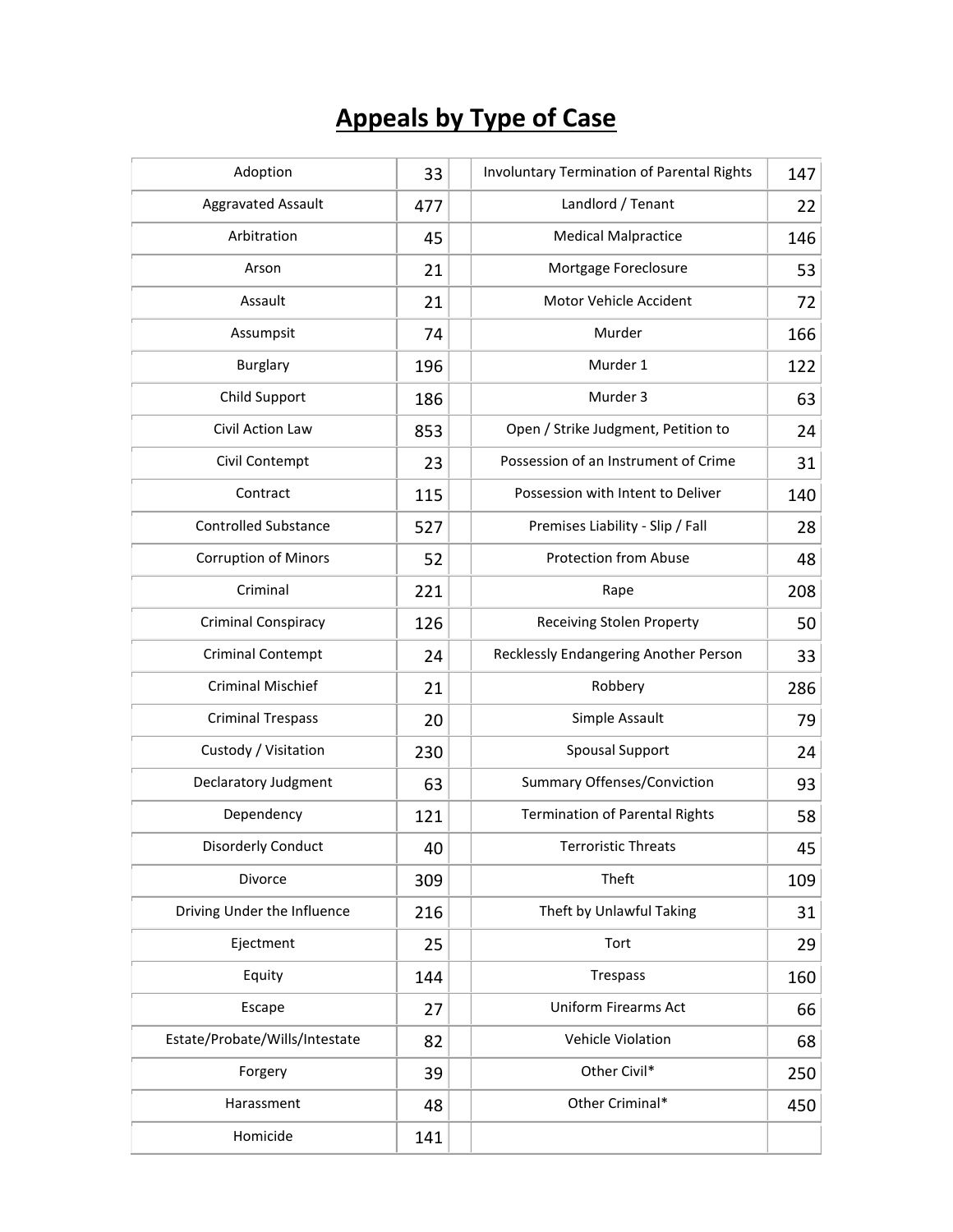# **Appeals by Type of Case**

| Adoption                       | 33  | Involuntary Termination of Parental Rights | 147 |
|--------------------------------|-----|--------------------------------------------|-----|
| <b>Aggravated Assault</b>      | 477 | Landlord / Tenant                          | 22  |
| Arbitration                    | 45  | <b>Medical Malpractice</b>                 | 146 |
| Arson                          | 21  | Mortgage Foreclosure                       | 53  |
| Assault                        | 21  | Motor Vehicle Accident                     | 72  |
| Assumpsit                      | 74  | Murder                                     | 166 |
| <b>Burglary</b>                | 196 | Murder 1                                   | 122 |
| Child Support                  | 186 | Murder 3                                   | 63  |
| Civil Action Law               | 853 | Open / Strike Judgment, Petition to        | 24  |
| Civil Contempt                 | 23  | Possession of an Instrument of Crime       | 31  |
| Contract                       | 115 | Possession with Intent to Deliver          | 140 |
| <b>Controlled Substance</b>    | 527 | Premises Liability - Slip / Fall           | 28  |
| <b>Corruption of Minors</b>    | 52  | <b>Protection from Abuse</b>               | 48  |
| Criminal                       | 221 | Rape                                       | 208 |
| Criminal Conspiracy            | 126 | Receiving Stolen Property                  | 50  |
| <b>Criminal Contempt</b>       | 24  | Recklessly Endangering Another Person      | 33  |
| <b>Criminal Mischief</b>       | 21  | Robbery                                    | 286 |
| <b>Criminal Trespass</b>       | 20  | Simple Assault                             | 79  |
| Custody / Visitation           | 230 | <b>Spousal Support</b>                     | 24  |
| Declaratory Judgment           | 63  | <b>Summary Offenses/Conviction</b>         | 93  |
| Dependency                     | 121 | <b>Termination of Parental Rights</b>      | 58  |
| Disorderly Conduct             | 40  | <b>Terroristic Threats</b>                 | 45  |
| Divorce                        | 309 | Theft                                      | 109 |
| Driving Under the Influence    | 216 | Theft by Unlawful Taking                   | 31  |
| Ejectment                      | 25  | Tort                                       | 29  |
| Equity                         | 144 | Trespass                                   | 160 |
| Escape                         | 27  | <b>Uniform Firearms Act</b>                | 66  |
| Estate/Probate/Wills/Intestate | 82  | Vehicle Violation                          | 68  |
| Forgery                        | 39  | Other Civil*                               | 250 |
| Harassment                     | 48  | Other Criminal*                            | 450 |
| Homicide                       | 141 |                                            |     |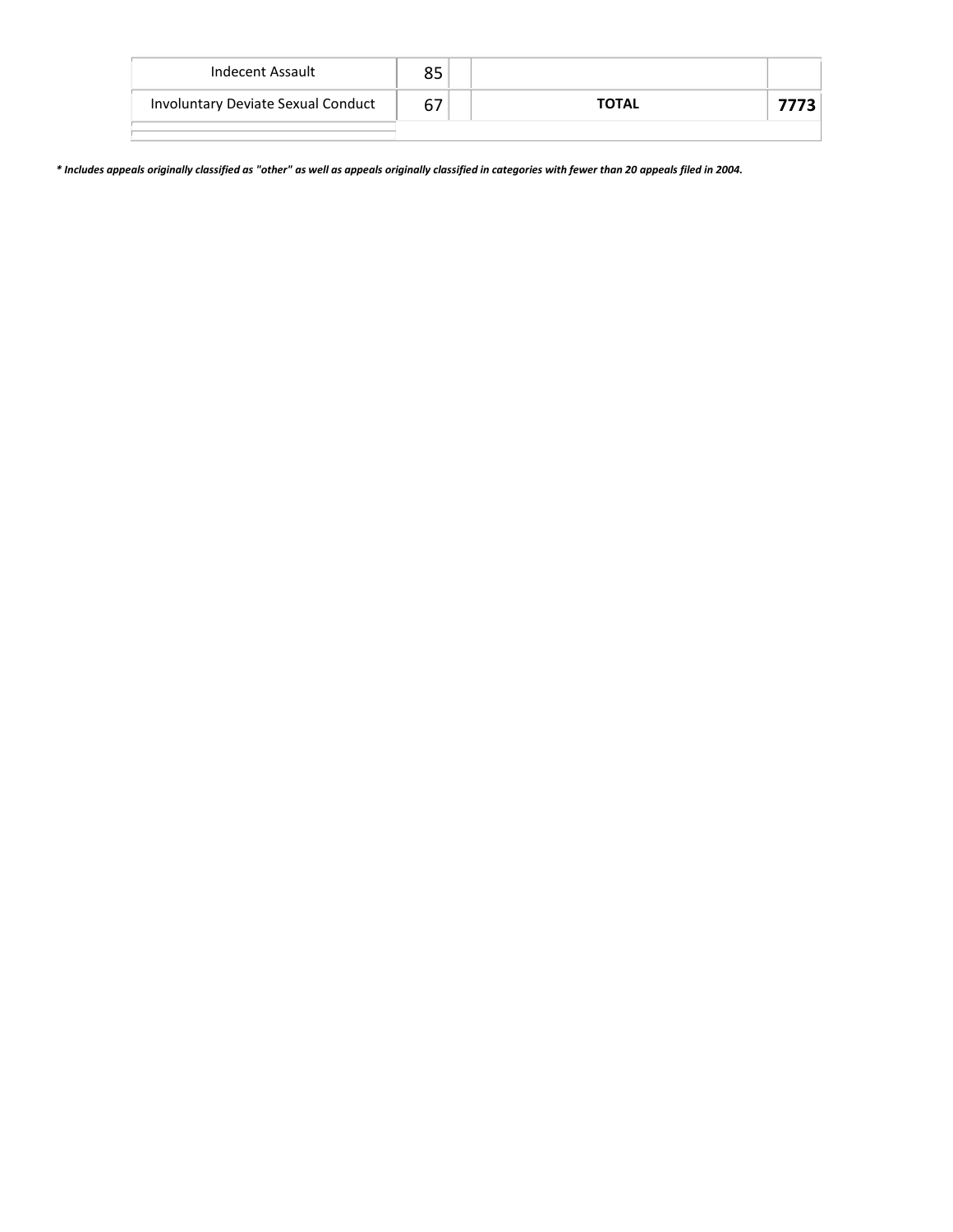| Indecent Assault                   | oг |              |  |
|------------------------------------|----|--------------|--|
| Involuntary Deviate Sexual Conduct |    | <b>TOTAL</b> |  |
|                                    |    |              |  |

*\* Includes appeals originally classified as "other" as well as appeals originally classified in categories with fewer than 20 appeals filed in 2004.*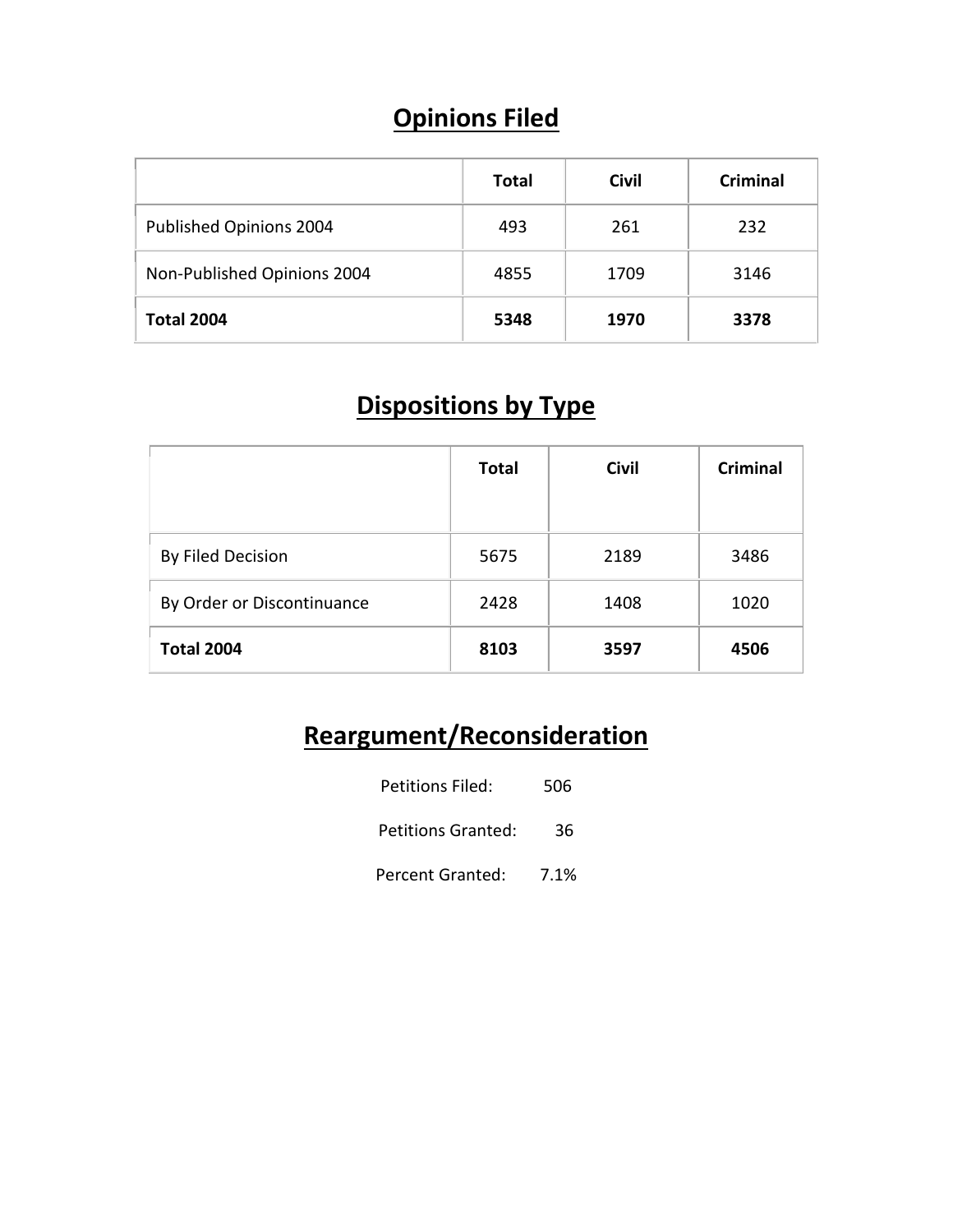# **Opinions Filed**

|                             | <b>Total</b> | <b>Civil</b> | <b>Criminal</b> |
|-----------------------------|--------------|--------------|-----------------|
| Published Opinions 2004     | 493          | 261          | 232             |
| Non-Published Opinions 2004 | 4855         | 1709         | 3146            |
| <b>Total 2004</b>           | 5348         | 1970         | 3378            |

#### **Dispositions by Type**

|                            | <b>Total</b> | <b>Civil</b> | <b>Criminal</b> |
|----------------------------|--------------|--------------|-----------------|
| By Filed Decision          | 5675         | 2189         | 3486            |
| By Order or Discontinuance | 2428         | 1408         | 1020            |
| <b>Total 2004</b>          | 8103         | 3597         | 4506            |

# **Reargument/Reconsideration**

| Petitions Filed:        | 506  |
|-------------------------|------|
| Petitions Granted:      | 36   |
| <b>Percent Granted:</b> | 7.1% |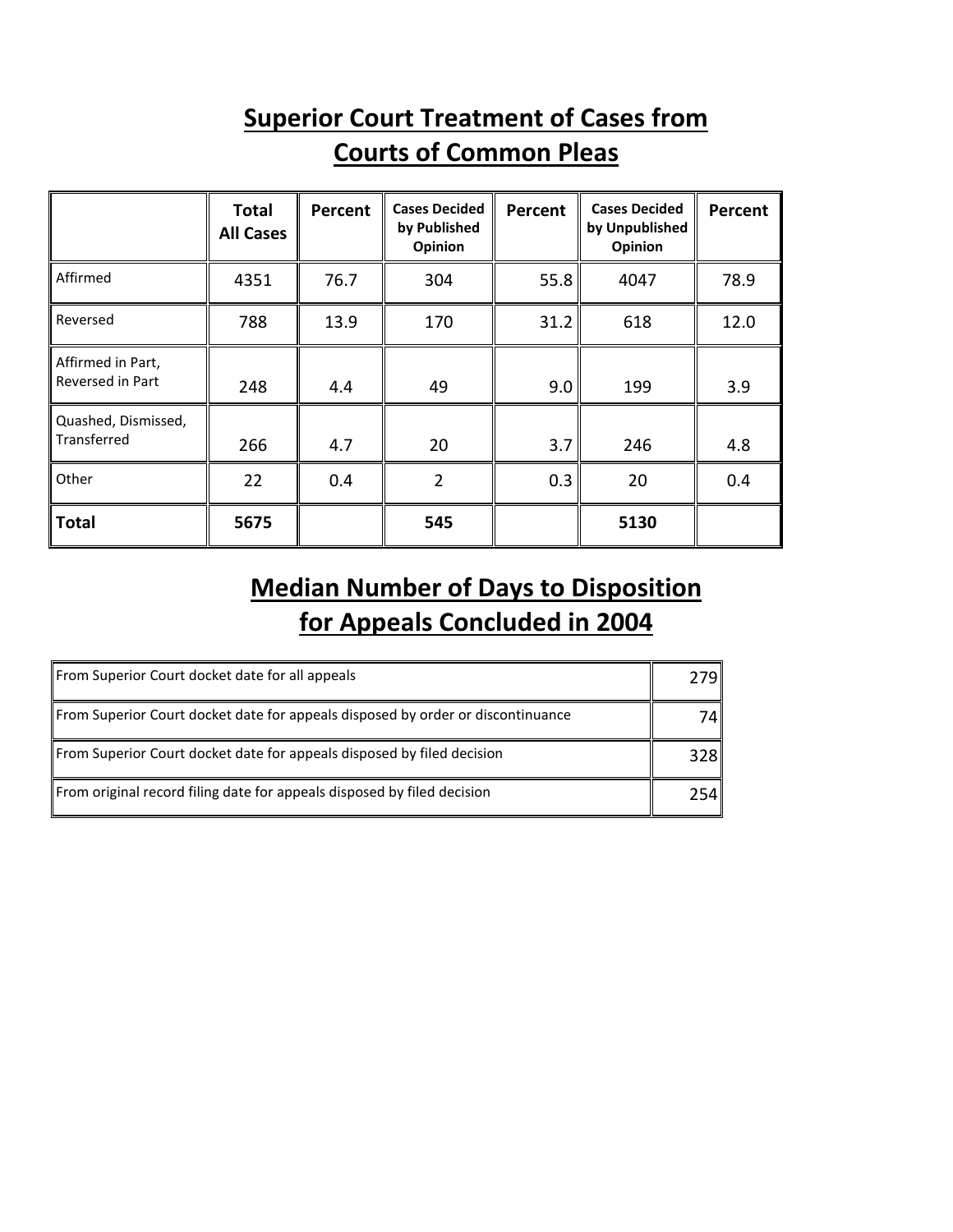#### **Superior Court Treatment of Cases from Courts of Common Pleas**

|                                       | <b>Total</b><br><b>All Cases</b> | Percent | <b>Cases Decided</b><br>by Published<br>Opinion | Percent | <b>Cases Decided</b><br>by Unpublished<br>Opinion | Percent |
|---------------------------------------|----------------------------------|---------|-------------------------------------------------|---------|---------------------------------------------------|---------|
| Affirmed                              | 4351                             | 76.7    | 304                                             | 55.8    | 4047                                              | 78.9    |
| Reversed                              | 788                              | 13.9    | 170                                             | 31.2    | 618                                               | 12.0    |
| Affirmed in Part,<br>Reversed in Part | 248                              | 4.4     | 49                                              | 9.0     | 199                                               | 3.9     |
| Quashed, Dismissed,<br>Transferred    | 266                              | 4.7     | 20                                              | 3.7     | 246                                               | 4.8     |
| Other                                 | 22                               | 0.4     | $\mathfrak{D}$                                  | 0.3     | 20                                                | 0.4     |
| <b>Total</b>                          | 5675                             |         | 545                                             |         | 5130                                              |         |

### **Median Number of Days to Disposition for Appeals Concluded in 2004**

| From Superior Court docket date for all appeals                                 | 2791 |
|---------------------------------------------------------------------------------|------|
| From Superior Court docket date for appeals disposed by order or discontinuance | 74 I |
| From Superior Court docket date for appeals disposed by filed decision          | 328  |
| From original record filing date for appeals disposed by filed decision         | 2541 |